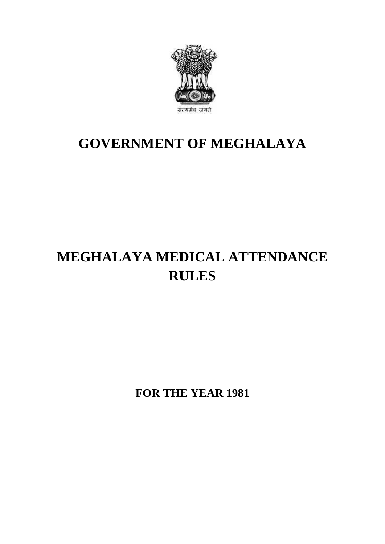

## **GOVERNMENT OF MEGHALAYA**

# **MEGHALAYA MEDICAL ATTENDANCE RULES**

**FOR THE YEAR 1981**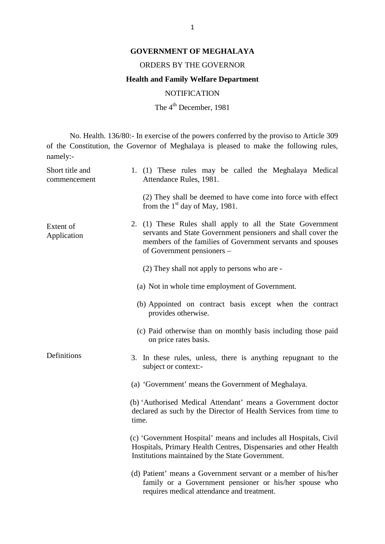#### **GOVERNMENT OF MEGHALAYA**

#### ORDERS BY THE GOVERNOR

## **Health and Family Welfare Department**

**NOTIFICATION** 

The 4<sup>th</sup> December, 1981

No. Health. 136/80:- In exercise of the powers conferred by the proviso to Article 309 of the Constitution, the Governor of Meghalaya is pleased to make the following rules, namely:- No. Health. 136/80:- In exercise of the powers conferred by the proviso to Article 309<br>of the Constitution, the Governor of Meghalaya is pleased to make the following rules,<br>namely:-<br>Short title and 1. (1) These rules may

| Short title and<br>commencement | 1. (1) These rules may be called the Meghalaya Medical<br>Attendance Rules, 1981.                                                                                                                                      |
|---------------------------------|------------------------------------------------------------------------------------------------------------------------------------------------------------------------------------------------------------------------|
|                                 | (2) They shall be deemed to have come into force with effect<br>from the $1st$ day of May, 1981.                                                                                                                       |
| Extent of<br>Application        | 2. (1) These Rules shall apply to all the State Government<br>servants and State Government pensioners and shall cover the<br>members of the families of Government servants and spouses<br>of Government pensioners - |
|                                 | (2) They shall not apply to persons who are -                                                                                                                                                                          |
|                                 | (a) Not in whole time employment of Government.                                                                                                                                                                        |
|                                 | (b) Appointed on contract basis except when the contract<br>provides otherwise.                                                                                                                                        |
|                                 | (c) Paid otherwise than on monthly basis including those paid<br>on price rates basis.                                                                                                                                 |
| Definitions                     | 3. In these rules, unless, there is anything repugnant to the<br>subject or context:-                                                                                                                                  |
|                                 | (a) 'Government' means the Government of Meghalaya.                                                                                                                                                                    |
|                                 | (b) 'Authorised Medical Attendant' means a Government doctor<br>declared as such by the Director of Health Services from time to<br>time.                                                                              |
|                                 | (c) 'Government Hospital' means and includes all Hospitals, Civil<br>Hospitals, Primary Health Centres, Dispensaries and other Health<br>Institutions maintained by the State Government.                              |
|                                 | (d) Patient' means a Government servant or a member of his/her<br>family or a Government pensioner or his/her spouse who<br>requires medical attendance and treatment.                                                 |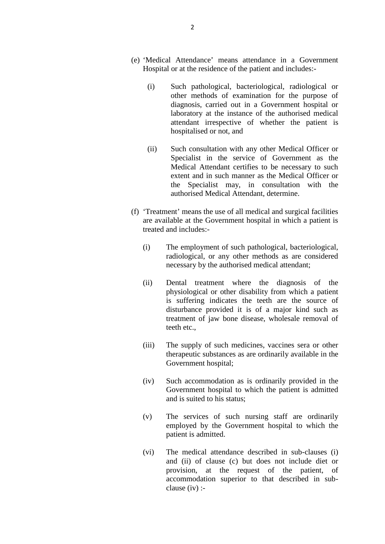- (e) 'Medical Attendance' means attendance in a Government 2<br>
"Medical Attendance" means attendance in a Governmen<br>
Hospital or at the residence of the patient and includes:-
	- Medical Attendance' means attendance in a Government<br>
	(i) Such pathological, bacteriological, radiological or<br>
	other methods of examination for the purpose of other methods of examination for the purpose of diagnosis, carried out in a Government hospital or laboratory at the instance of the authorised medical attendant irrespective of whether the patient is hospitalised or not, and (diagnosis, carried out in a Government hospital or<br>
	laboratory at the instance of the authorised medical<br>
	attendant irrespective of whether the patient is<br>
	hospitalised or not, and<br>
	(ii) Such consultation with any other M
	- Specialist in the service of Government as the Medical Attendant certifies to be necessary to such extent and in such manner as the Medical Officer or the Specialist may, in consultation with the authorised Medical Attendant, determine.
- (f) 'Treatment' means the use of all medical and surgical facilities are available at the Government hospital in which a patient is treated and includes:- Treatment' means the use of all medical and surgical facilities<br>are available at the Government hospital in which a patient is<br>treated and includes:-<br>(i) The employment of such pathological, bacteriological,<br>radiological,
	- radiological, or any other methods as are considered necessary by the authorised medical attendant; (i) The employment of such pathological, bacteriological,<br>radiological, or any other methods as are considered<br>necessary by the authorised medical attendant;<br>(ii) Dental treatment where the diagnosis of the<br>physiological o
	- physiological or other disability from which a patient radiological, or any other methods as are considered<br>necessary by the authorised medical attendant;<br>Dental treatment where the diagnosis of the<br>physiological or other disability from which a patient<br>is suffering indicates necessary by the authorised medical attendant;<br>Dental treatment where the diagnosis of the<br>physiological or other disability from which a patient<br>is suffering indicates the teeth are the source of<br>disturbance provided it i treatment of jaw bone disease, wholesale removal of teeth etc., is suffering indicates the teeth are the source of<br>disturbance provided it is of a major kind such as<br>treatment of jaw bone disease, wholesale removal of<br>teeth etc.,<br>(iii) The supply of such medicines, vaccines sera or oth
	- therapeutic substances as are ordinarily available in the Government hospital; (iii) The supply of such medicines, vaccines sera or other<br>therapeutic substances as are ordinarily available in the<br>Government hospital;<br>(iv) Such accommodation as is ordinarily provided in the<br>Government hospital to whic
	- Government hospital to which the patient is admitted and is suited to his status; (iv) Such accommodation as is ordinarily provided in the<br>
	Government hospital to which the patient is admitted<br>
	and is suited to his status;<br>
	(v) The services of such nursing staff are ordinarily<br>
	employed by the Governmen Such accommodation as is ordinarily provided in the Government hospital to which the patient is admitted and is suited to his status;<br>The services of such nursing staff are ordinarily employed by the Government hospital to
	- patient is admitted. (v) The services of such nursing staff are ordinarily<br>employed by the Government hospital to which the<br>patient is admitted.<br>(vi) The medical attendance described in sub-clauses (i)<br>and (ii) of clause (c) but does not inclu
	- and (ii) of clause (c) but does not include diet or provision, at the request of the patient, of accommodation superior to that described in subclause (iv) :-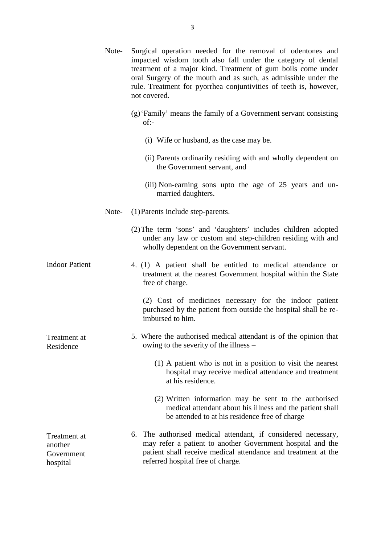|                                                   |       | 3                                                                                                                                                                                                                                                                                                                                                 |
|---------------------------------------------------|-------|---------------------------------------------------------------------------------------------------------------------------------------------------------------------------------------------------------------------------------------------------------------------------------------------------------------------------------------------------|
|                                                   | Note- | Surgical operation needed for the removal of odentones and<br>impacted wisdom tooth also fall under the category of dental<br>treatment of a major kind. Treatment of gum boils come under<br>oral Surgery of the mouth and as such, as admissible under the<br>rule. Treatment for pyorrhea conjuntivities of teeth is, however,<br>not covered. |
|                                                   |       | (g) 'Family' means the family of a Government servant consisting<br>$of:-$                                                                                                                                                                                                                                                                        |
|                                                   |       | (i) Wife or husband, as the case may be.                                                                                                                                                                                                                                                                                                          |
|                                                   |       | (ii) Parents ordinarily residing with and wholly dependent on<br>the Government servant, and                                                                                                                                                                                                                                                      |
|                                                   |       | (iii) Non-earning sons upto the age of 25 years and un-<br>married daughters.                                                                                                                                                                                                                                                                     |
|                                                   | Note- | (1) Parents include step-parents.                                                                                                                                                                                                                                                                                                                 |
|                                                   |       | (2) The term 'sons' and 'daughters' includes children adopted<br>under any law or custom and step-children residing with and<br>wholly dependent on the Government servant.                                                                                                                                                                       |
| <b>Indoor Patient</b>                             |       | 4. (1) A patient shall be entitled to medical attendance or<br>treatment at the nearest Government hospital within the State<br>free of charge.                                                                                                                                                                                                   |
|                                                   |       | (2) Cost of medicines necessary for the indoor patient<br>purchased by the patient from outside the hospital shall be re-<br>imbursed to him.                                                                                                                                                                                                     |
| Treatment at<br>Residence                         |       | 5. Where the authorised medical attendant is of the opinion that<br>owing to the severity of the illness –                                                                                                                                                                                                                                        |
|                                                   |       | (1) A patient who is not in a position to visit the nearest<br>hospital may receive medical attendance and treatment<br>at his residence.                                                                                                                                                                                                         |
|                                                   |       | (2) Written information may be sent to the authorised<br>medical attendant about his illness and the patient shall<br>be attended to at his residence free of charge                                                                                                                                                                              |
| Treatment at<br>another<br>Government<br>hospital |       | 6. The authorised medical attendant, if considered necessary,<br>may refer a patient to another Government hospital and the<br>patient shall receive medical attendance and treatment at the<br>referred hospital free of charge.                                                                                                                 |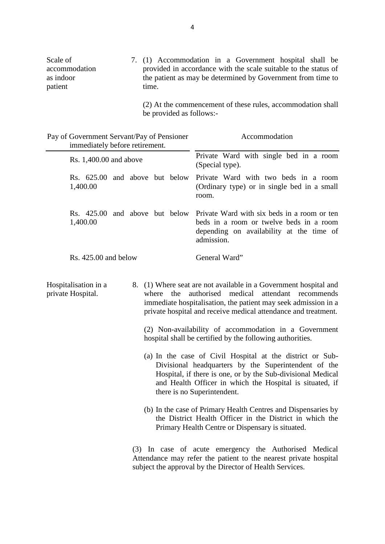|                                                   | 4                                                                                                                                                                                                 |
|---------------------------------------------------|---------------------------------------------------------------------------------------------------------------------------------------------------------------------------------------------------|
| Scale of<br>accommodation<br>as indoor<br>patient | 7. (1) Accommodation in a Government hospital shall be<br>provided in accordance with the scale suitable to the status of<br>the patient as may be determined by Government from time to<br>time. |
|                                                   | 1.1                                                                                                                                                                                               |

|                                                                              | be provided as follows:- | (2) At the commencement of these rules, accommodation shall                                                                                                                                                                                                                                                                                                                                                                                                                                                                                                                                                                                                                                                                                                                                                                           |
|------------------------------------------------------------------------------|--------------------------|---------------------------------------------------------------------------------------------------------------------------------------------------------------------------------------------------------------------------------------------------------------------------------------------------------------------------------------------------------------------------------------------------------------------------------------------------------------------------------------------------------------------------------------------------------------------------------------------------------------------------------------------------------------------------------------------------------------------------------------------------------------------------------------------------------------------------------------|
| Pay of Government Servant/Pay of Pensioner<br>immediately before retirement. |                          | Accommodation                                                                                                                                                                                                                                                                                                                                                                                                                                                                                                                                                                                                                                                                                                                                                                                                                         |
| Rs. 1,400.00 and above                                                       |                          | Private Ward with single bed in a room<br>(Special type).                                                                                                                                                                                                                                                                                                                                                                                                                                                                                                                                                                                                                                                                                                                                                                             |
| Rs. 625.00 and above but below<br>1,400.00                                   |                          | Private Ward with two beds in a room<br>(Ordinary type) or in single bed in a small<br>room.                                                                                                                                                                                                                                                                                                                                                                                                                                                                                                                                                                                                                                                                                                                                          |
| Rs. 425.00 and above but below<br>1,400.00                                   |                          | Private Ward with six beds in a room or ten<br>beds in a room or twelve beds in a room<br>depending on availability at the time of<br>admission.                                                                                                                                                                                                                                                                                                                                                                                                                                                                                                                                                                                                                                                                                      |
| $Rs. 425.00$ and below                                                       |                          | General Ward"                                                                                                                                                                                                                                                                                                                                                                                                                                                                                                                                                                                                                                                                                                                                                                                                                         |
| Hospitalisation in a<br>private Hospital.                                    | where the                | 8. (1) Where seat are not available in a Government hospital and<br>authorised medical attendant recommends<br>immediate hospitalisation, the patient may seek admission in a<br>private hospital and receive medical attendance and treatment.<br>(2) Non-availability of accommodation in a Government<br>hospital shall be certified by the following authorities.<br>(a) In the case of Civil Hospital at the district or Sub-<br>Divisional headquarters by the Superintendent of the<br>Hospital, if there is one, or by the Sub-divisional Medical<br>and Health Officer in which the Hospital is situated, if<br>there is no Superintendent.<br>(b) In the case of Primary Health Centres and Dispensaries by<br>the District Health Officer in the District in which the<br>Primary Health Centre or Dispensary is situated. |
|                                                                              |                          | (3) In case of acute emergency the Authorised Medical<br>Attendance may refer the patient to the nearest private hospital<br>subject the approval by the Director of Health Services.                                                                                                                                                                                                                                                                                                                                                                                                                                                                                                                                                                                                                                                 |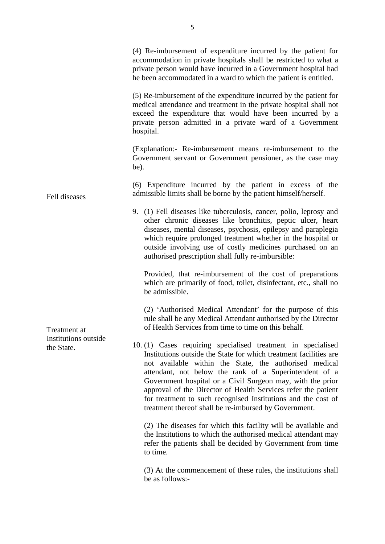|                                                                     | 5                                                                                                                                                                                                                                                                                                                                                                                                                                                                                                              |
|---------------------------------------------------------------------|----------------------------------------------------------------------------------------------------------------------------------------------------------------------------------------------------------------------------------------------------------------------------------------------------------------------------------------------------------------------------------------------------------------------------------------------------------------------------------------------------------------|
|                                                                     | (4) Re-imbursement of expenditure incurred by the patient for<br>accommodation in private hospitals shall be restricted to what a<br>private person would have incurred in a Government hospital had<br>he been accommodated in a ward to which the patient is entitled.                                                                                                                                                                                                                                       |
|                                                                     | (5) Re-imbursement of the expenditure incurred by the patient for<br>medical attendance and treatment in the private hospital shall not<br>exceed the expenditure that would have been incurred by a<br>private person admitted in a private ward of a Government<br>hospital.                                                                                                                                                                                                                                 |
| Fell diseases<br>Treatment at<br>Institutions outside<br>the State. | (Explanation:- Re-imbursement means re-imbursement to the<br>Government servant or Government pensioner, as the case may<br>be).                                                                                                                                                                                                                                                                                                                                                                               |
|                                                                     | (6) Expenditure incurred by the patient in excess of the<br>admissible limits shall be borne by the patient himself/herself.                                                                                                                                                                                                                                                                                                                                                                                   |
|                                                                     | 9. (1) Fell diseases like tuberculosis, cancer, polio, leprosy and<br>other chronic diseases like bronchitis, peptic ulcer, heart<br>diseases, mental diseases, psychosis, epilepsy and paraplegia<br>which require prolonged treatment whether in the hospital or<br>outside involving use of costly medicines purchased on an<br>authorised prescription shall fully re-imbursible:                                                                                                                          |
|                                                                     | Provided, that re-imbursement of the cost of preparations<br>which are primarily of food, toilet, disinfectant, etc., shall no<br>be admissible.                                                                                                                                                                                                                                                                                                                                                               |
|                                                                     | (2) 'Authorised Medical Attendant' for the purpose of this<br>rule shall be any Medical Attendant authorised by the Director<br>of Health Services from time to time on this behalf.                                                                                                                                                                                                                                                                                                                           |
|                                                                     | 10. (1) Cases requiring specialised treatment in specialised<br>Institutions outside the State for which treatment facilities are<br>not available within the State, the authorised medical<br>attendant, not below the rank of a Superintendent of a<br>Government hospital or a Civil Surgeon may, with the prior<br>approval of the Director of Health Services refer the patient<br>for treatment to such recognised Institutions and the cost of<br>treatment thereof shall be re-imbursed by Government. |
|                                                                     | (2) The diseases for which this facility will be available and<br>the Institutions to which the authorised medical attendant may<br>refer the patients shall be decided by Government from time<br>to time.                                                                                                                                                                                                                                                                                                    |
|                                                                     | (3) At the commencement of these rules, the institutions shall<br>be as follows:-                                                                                                                                                                                                                                                                                                                                                                                                                              |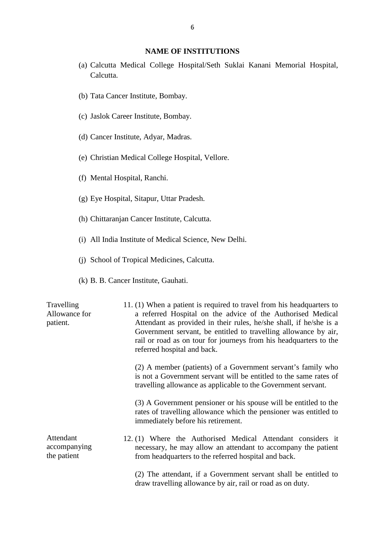#### **NAME OF INSTITUTIONS**

- (a) Calcutta Medical College Hospital/Seth Suklai Kanani Memorial Hospital, Calcutta. **NAME OF INST**<br>
(a) Calcutta Medical College Hospita<br>
Calcutta.<br>
(b) Tata Cancer Institute, Bombay. Calcutta.<br>
(b) Tata Cancer Institute, Bombay.<br>
(c) Jaslok Career Institute, Bombay.
- 
- 
- (b) Tata Cancer Institute, Bombay.<br>(c) Jaslok Career Institute, Bombay.<br>(d) Cancer Institute, Adyar, Madras. (d) Cancer Institute, Adyar, Madrence<br>(e) Christian Medical College Ho<br>(f) Mental Hospital, Ranchi.
- (c) Jaslok Career Institute, Bombay.<br>(d) Cancer Institute, Adyar, Madras.<br>(e) Christian Medical College Hospital, Vellore. (e) Christian Medical College Hospital, Vello<br>(f) Mental Hospital, Ranchi.<br>(g) Eye Hospital, Sitapur, Uttar Pradesh.
- 
- 
- (f) Mental Hospital, Ranchi.<br>
(g) Eye Hospital, Sitapur, Uttar Pradesh.<br>
(h) Chittaranjan Cancer Institute, Calcutta.
- (g) Eye Hospital, Sitapur, Uttar Pradesh.<br>(h) Chittaranjan Cancer Institute, Calcutta.<br>(i) All India Institute of Medical Science, New Delhi. (h) Chittaranjan Cancer Institute, Calcutta.<br>
(i) All India Institute of Medical Science, New<br>
(j) School of Tropical Medicines, Calcutta.
- (i) School of Tropical Medicines, Calcutta.<br>(k) B. B. Cancer Institute, Gauhati.
- 

|                                          | (i) School of Tropical Medicines, Calcutta.                                                                                                                                                                                                                                                                                                                                       |  |  |
|------------------------------------------|-----------------------------------------------------------------------------------------------------------------------------------------------------------------------------------------------------------------------------------------------------------------------------------------------------------------------------------------------------------------------------------|--|--|
| (k) B. B. Cancer Institute, Gauhati.     |                                                                                                                                                                                                                                                                                                                                                                                   |  |  |
| Travelling<br>Allowance for<br>patient.  | 11. (1) When a patient is required to travel from his headquarters to<br>a referred Hospital on the advice of the Authorised Medical<br>Attendant as provided in their rules, he/she shall, if he/she is a<br>Government servant, be entitled to travelling allowance by air,<br>rail or road as on tour for journeys from his headquarters to the<br>referred hospital and back. |  |  |
|                                          | (2) A member (patients) of a Government servant's family who<br>is not a Government servant will be entitled to the same rates of<br>travelling allowance as applicable to the Government servant.                                                                                                                                                                                |  |  |
|                                          | (3) A Government pensioner or his spouse will be entitled to the<br>rates of travelling allowance which the pensioner was entitled to<br>immediately before his retirement.                                                                                                                                                                                                       |  |  |
| Attendant<br>accompanying<br>the patient | 12. (1) Where the Authorised Medical Attendant considers it<br>necessary, he may allow an attendant to accompany the patient<br>from headquarters to the referred hospital and back.                                                                                                                                                                                              |  |  |
|                                          | (2) The attendant, if a Government servant shall be entitled to<br>draw travelling allowance by air, rail or road as on duty.                                                                                                                                                                                                                                                     |  |  |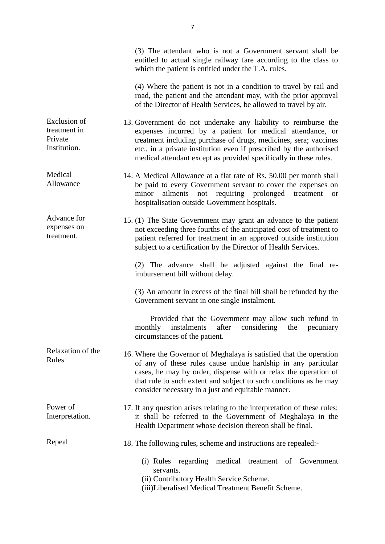|                                                                | (3) The attendant who is not a Government servant shall be<br>entitled to actual single railway fare according to the class to<br>which the patient is entitled under the T.A. rules.                                                                                                                                                       |
|----------------------------------------------------------------|---------------------------------------------------------------------------------------------------------------------------------------------------------------------------------------------------------------------------------------------------------------------------------------------------------------------------------------------|
|                                                                | (4) Where the patient is not in a condition to travel by rail and<br>road, the patient and the attendant may, with the prior approval<br>of the Director of Health Services, be allowed to travel by air.                                                                                                                                   |
| <b>Exclusion</b> of<br>treatment in<br>Private<br>Institution. | 13. Government do not undertake any liability to reimburse the<br>expenses incurred by a patient for medical attendance, or<br>treatment including purchase of drugs, medicines, sera; vaccines<br>etc., in a private institution even if prescribed by the authorised<br>medical attendant except as provided specifically in these rules. |
| Medical<br>Allowance                                           | 14. A Medical Allowance at a flat rate of Rs. 50.00 per month shall<br>be paid to every Government servant to cover the expenses on<br>minor<br>ailments not requiring prolonged<br>treatment<br><b>or</b><br>hospitalisation outside Government hospitals.                                                                                 |
| Advance for<br>expenses on<br>treatment.                       | 15. (1) The State Government may grant an advance to the patient<br>not exceeding three fourths of the anticipated cost of treatment to<br>patient referred for treatment in an approved outside institution<br>subject to a certification by the Director of Health Services.                                                              |
|                                                                | (2) The advance shall be adjusted against the final re-<br>imbursement bill without delay.                                                                                                                                                                                                                                                  |
|                                                                | (3) An amount in excess of the final bill shall be refunded by the<br>Government servant in one single instalment.                                                                                                                                                                                                                          |
|                                                                | Provided that the Government may allow such refund in<br>monthly instalments<br>after considering<br>the<br>pecuniary<br>circumstances of the patient.                                                                                                                                                                                      |
| Relaxation of the<br>Rules                                     | 16. Where the Governor of Meghalaya is satisfied that the operation<br>of any of these rules cause undue hardship in any particular<br>cases, he may by order, dispense with or relax the operation of<br>that rule to such extent and subject to such conditions as he may<br>consider necessary in a just and equitable manner.           |
| Power of<br>Interpretation.                                    | 17. If any question arises relating to the interpretation of these rules;<br>it shall be referred to the Government of Meghalaya in the<br>Health Department whose decision thereon shall be final.                                                                                                                                         |
| Repeal                                                         | 18. The following rules, scheme and instructions are repealed:                                                                                                                                                                                                                                                                              |
|                                                                | (i) Rules regarding medical treatment of Government<br>servants.<br>(ii) Contributory Health Service Scheme.<br>(iii)Liberalised Medical Treatment Benefit Scheme.                                                                                                                                                                          |